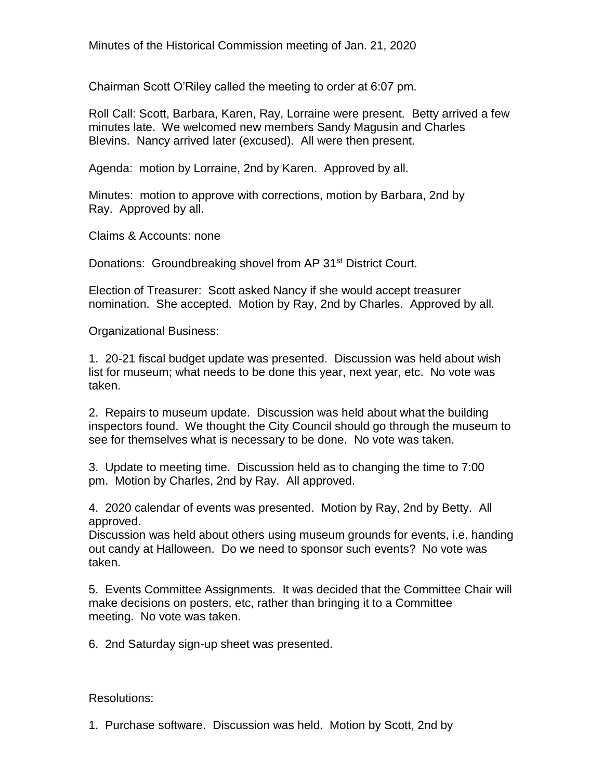Minutes of the Historical Commission meeting of Jan. 21, 2020

Chairman Scott O'Riley called the meeting to order at 6:07 pm.

Roll Call: Scott, Barbara, Karen, Ray, Lorraine were present. Betty arrived a few minutes late. We welcomed new members Sandy Magusin and Charles Blevins. Nancy arrived later (excused). All were then present.

Agenda: motion by Lorraine, 2nd by Karen. Approved by all.

Minutes: motion to approve with corrections, motion by Barbara, 2nd by Ray. Approved by all.

Claims & Accounts: none

Donations: Groundbreaking shovel from AP 31<sup>st</sup> District Court.

Election of Treasurer: Scott asked Nancy if she would accept treasurer nomination. She accepted. Motion by Ray, 2nd by Charles. Approved by all.

Organizational Business:

1. 20-21 fiscal budget update was presented. Discussion was held about wish list for museum; what needs to be done this year, next year, etc. No vote was taken.

2. Repairs to museum update. Discussion was held about what the building inspectors found. We thought the City Council should go through the museum to see for themselves what is necessary to be done. No vote was taken.

3. Update to meeting time. Discussion held as to changing the time to 7:00 pm. Motion by Charles, 2nd by Ray. All approved.

4. 2020 calendar of events was presented. Motion by Ray, 2nd by Betty. All approved.

Discussion was held about others using museum grounds for events, i.e. handing out candy at Halloween. Do we need to sponsor such events? No vote was taken.

5. Events Committee Assignments. It was decided that the Committee Chair will make decisions on posters, etc, rather than bringing it to a Committee meeting. No vote was taken.

6. 2nd Saturday sign-up sheet was presented.

Resolutions:

1. Purchase software. Discussion was held. Motion by Scott, 2nd by